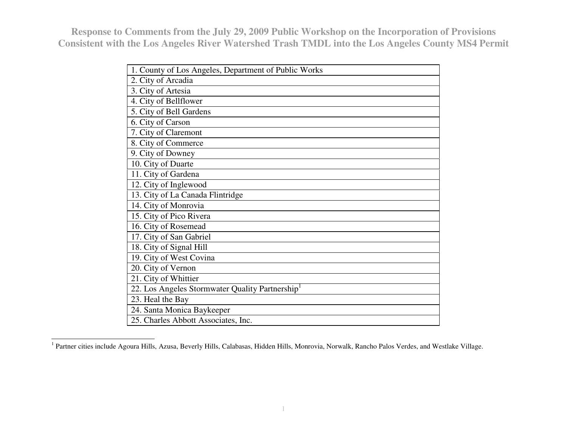| 1. County of Los Angeles, Department of Public Works |
|------------------------------------------------------|
| 2. City of Arcadia                                   |
| 3. City of Artesia                                   |
| 4. City of Bellflower                                |
| 5. City of Bell Gardens                              |
| 6. City of Carson                                    |
| 7. City of Claremont                                 |
| 8. City of Commerce                                  |
| 9. City of Downey                                    |
| 10. City of Duarte                                   |
| 11. City of Gardena                                  |
| 12. City of Inglewood                                |
| 13. City of La Canada Flintridge                     |
| 14. City of Monrovia                                 |
| 15. City of Pico Rivera                              |
| 16. City of Rosemead                                 |
| 17. City of San Gabriel                              |
| 18. City of Signal Hill                              |
| 19. City of West Covina                              |
| 20. City of Vernon                                   |
| 21. City of Whittier                                 |
| 22. Los Angeles Stormwater Quality Partnership       |
| 23. Heal the Bay                                     |
| 24. Santa Monica Baykeeper                           |
| 25. Charles Abbott Associates, Inc.                  |

<sup>&</sup>lt;sup>1</sup> Partner cities include Agoura Hills, Azusa, Beverly Hills, Calabasas, Hidden Hills, Monrovia, Norwalk, Rancho Palos Verdes, and Westlake Village.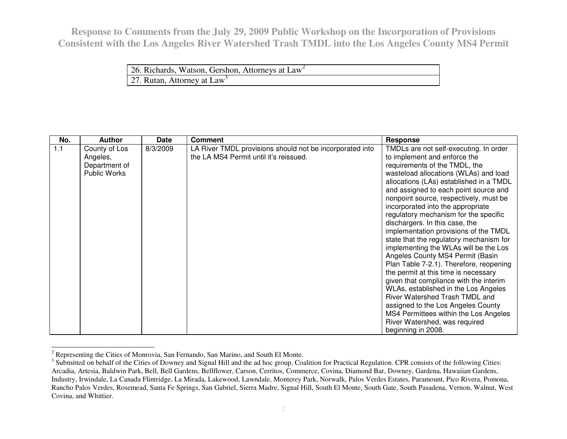| 26. Richards, Watson, Gershon, Attorneys at $Law^2$ |  |
|-----------------------------------------------------|--|
| 27. Rutan, Attorney at $Law^3$                      |  |

| No. | <b>Author</b>                                                     | <b>Date</b> | <b>Comment</b>                                                                                     | <b>Response</b>                                                                                                                                                                                                                                                                                                                                                                                                                                                                                                                                                                                                                                                                                                                                                                                                                                                                                              |
|-----|-------------------------------------------------------------------|-------------|----------------------------------------------------------------------------------------------------|--------------------------------------------------------------------------------------------------------------------------------------------------------------------------------------------------------------------------------------------------------------------------------------------------------------------------------------------------------------------------------------------------------------------------------------------------------------------------------------------------------------------------------------------------------------------------------------------------------------------------------------------------------------------------------------------------------------------------------------------------------------------------------------------------------------------------------------------------------------------------------------------------------------|
| 1.1 | County of Los<br>Angeles,<br>Department of<br><b>Public Works</b> | 8/3/2009    | LA River TMDL provisions should not be incorporated into<br>the LA MS4 Permit until it's reissued. | TMDLs are not self-executing. In order<br>to implement and enforce the<br>requirements of the TMDL, the<br>wasteload allocations (WLAs) and load<br>allocations (LAs) established in a TMDL<br>and assigned to each point source and<br>nonpoint source, respectively, must be<br>incorporated into the appropriate<br>regulatory mechanism for the specific<br>dischargers. In this case, the<br>implementation provisions of the TMDL<br>state that the regulatory mechanism for<br>implementing the WLAs will be the Los<br>Angeles County MS4 Permit (Basin<br>Plan Table 7-2.1). Therefore, reopening<br>the permit at this time is necessary<br>given that compliance with the interim<br>WLAs, established in the Los Angeles<br>River Watershed Trash TMDL and<br>assigned to the Los Angeles County<br>MS4 Permittees within the Los Angeles<br>River Watershed, was required<br>beginning in 2008. |

<sup>&</sup>lt;sup>2</sup> Representing the Cities of Monrovia, San Fernando, San Marino, and South El Monte.

 $3$  Submitted on behalf of the Cities of Downey and Signal Hill and the ad hoc group, Coalition for Practical Regulation. CPR consists of the following Cities: Arcadia, Artesia, Baldwin Park, Bell, Bell Gardens, Bellflower, Carson, Cerritos, Commerce, Covina, Diamond Bar, Downey, Gardena, Hawaiian Gardens, Industry, Irwindale, La Canada Flintridge, La Mirada, Lakewood, Lawndale, Monterey Park, Norwalk, Palos Verdes Estates, Paramount, Pico Rivera, Pomona, Rancho Palos Verdes, Rosemead, Santa Fe Springs, San Gabriel, Sierra Madre, Signal Hill, South El Monte, South Gate, South Pasadena, Vernon, Walnut, WestCovina, and Whittier.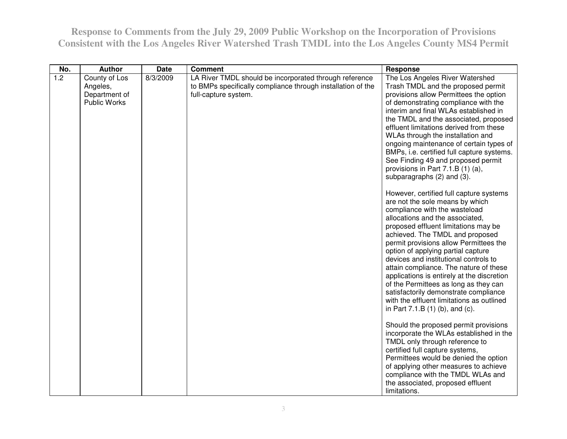| No. | <b>Author</b>                                              | <b>Date</b> | <b>Comment</b>                                                                                                                                | <b>Response</b>                                                                                                                                                                                                                                                                                                                                                                                                                                                                                                                                                                                              |
|-----|------------------------------------------------------------|-------------|-----------------------------------------------------------------------------------------------------------------------------------------------|--------------------------------------------------------------------------------------------------------------------------------------------------------------------------------------------------------------------------------------------------------------------------------------------------------------------------------------------------------------------------------------------------------------------------------------------------------------------------------------------------------------------------------------------------------------------------------------------------------------|
| 1.2 | County of Los<br>Angeles,<br>Department of<br>Public Works | 8/3/2009    | LA River TMDL should be incorporated through reference<br>to BMPs specifically compliance through installation of the<br>full-capture system. | The Los Angeles River Watershed<br>Trash TMDL and the proposed permit<br>provisions allow Permittees the option<br>of demonstrating compliance with the<br>interim and final WLAs established in<br>the TMDL and the associated, proposed<br>effluent limitations derived from these<br>WLAs through the installation and<br>ongoing maintenance of certain types of<br>BMPs, i.e. certified full capture systems.<br>See Finding 49 and proposed permit<br>provisions in Part 7.1.B (1) (a),<br>subparagraphs (2) and (3).                                                                                  |
|     |                                                            |             |                                                                                                                                               | However, certified full capture systems<br>are not the sole means by which<br>compliance with the wasteload<br>allocations and the associated,<br>proposed effluent limitations may be<br>achieved. The TMDL and proposed<br>permit provisions allow Permittees the<br>option of applying partial capture<br>devices and institutional controls to<br>attain compliance. The nature of these<br>applications is entirely at the discretion<br>of the Permittees as long as they can<br>satisfactorily demonstrate compliance<br>with the effluent limitations as outlined<br>in Part 7.1.B (1) (b), and (c). |
|     |                                                            |             |                                                                                                                                               | Should the proposed permit provisions<br>incorporate the WLAs established in the<br>TMDL only through reference to<br>certified full capture systems,<br>Permittees would be denied the option<br>of applying other measures to achieve<br>compliance with the TMDL WLAs and<br>the associated, proposed effluent<br>limitations.                                                                                                                                                                                                                                                                            |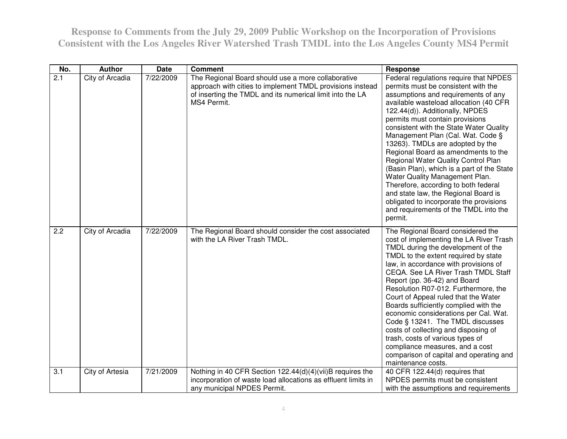| No.              | <b>Author</b>   | <b>Date</b> | <b>Comment</b>                                                                                                                                                                              | <b>Response</b>                                                                                                                                                                                                                                                                                                                                                                                                                                                                                                                                                                                                                                                                                       |
|------------------|-----------------|-------------|---------------------------------------------------------------------------------------------------------------------------------------------------------------------------------------------|-------------------------------------------------------------------------------------------------------------------------------------------------------------------------------------------------------------------------------------------------------------------------------------------------------------------------------------------------------------------------------------------------------------------------------------------------------------------------------------------------------------------------------------------------------------------------------------------------------------------------------------------------------------------------------------------------------|
| $\overline{2.1}$ | City of Arcadia | 7/22/2009   | The Regional Board should use a more collaborative<br>approach with cities to implement TMDL provisions instead<br>of inserting the TMDL and its numerical limit into the LA<br>MS4 Permit. | Federal regulations require that NPDES<br>permits must be consistent with the<br>assumptions and requirements of any<br>available wasteload allocation (40 CFR<br>122.44(d)). Additionally, NPDES<br>permits must contain provisions<br>consistent with the State Water Quality<br>Management Plan (Cal. Wat. Code §<br>13263). TMDLs are adopted by the<br>Regional Board as amendments to the<br>Regional Water Quality Control Plan<br>(Basin Plan), which is a part of the State<br>Water Quality Management Plan.<br>Therefore, according to both federal<br>and state law, the Regional Board is<br>obligated to incorporate the provisions<br>and requirements of the TMDL into the<br>permit. |
| 2.2              | City of Arcadia | 7/22/2009   | The Regional Board should consider the cost associated<br>with the LA River Trash TMDL.                                                                                                     | The Regional Board considered the<br>cost of implementing the LA River Trash<br>TMDL during the development of the<br>TMDL to the extent required by state<br>law, in accordance with provisions of<br>CEQA. See LA River Trash TMDL Staff<br>Report (pp. 36-42) and Board<br>Resolution R07-012. Furthermore, the<br>Court of Appeal ruled that the Water<br>Boards sufficiently complied with the<br>economic considerations per Cal. Wat.<br>Code § 13241. The TMDL discusses<br>costs of collecting and disposing of<br>trash, costs of various types of<br>compliance measures, and a cost<br>comparison of capital and operating and<br>maintenance costs.                                      |
| 3.1              | City of Artesia | 7/21/2009   | Nothing in 40 CFR Section 122.44(d)(4)(vii)B requires the<br>incorporation of waste load allocations as effluent limits in<br>any municipal NPDES Permit.                                   | 40 CFR 122.44(d) requires that<br>NPDES permits must be consistent<br>with the assumptions and requirements                                                                                                                                                                                                                                                                                                                                                                                                                                                                                                                                                                                           |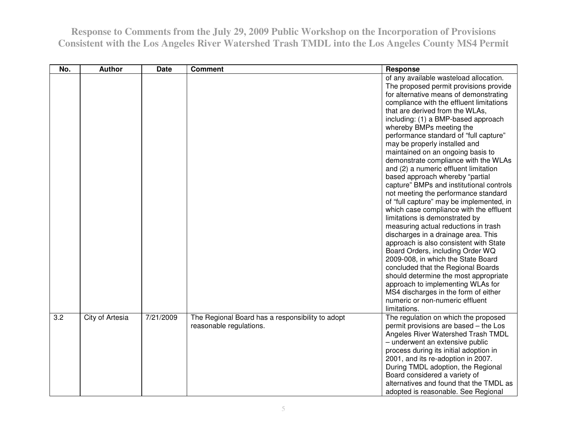| No. | <b>Author</b>   | <b>Date</b> | <b>Comment</b>                                                              | Response                                                                                                                                                                                                                                                                                                                                                                                                                                                                                                                                                                                                                                                                                                                                                                                                                                                                                                                                                                                                                                                                                                                                        |
|-----|-----------------|-------------|-----------------------------------------------------------------------------|-------------------------------------------------------------------------------------------------------------------------------------------------------------------------------------------------------------------------------------------------------------------------------------------------------------------------------------------------------------------------------------------------------------------------------------------------------------------------------------------------------------------------------------------------------------------------------------------------------------------------------------------------------------------------------------------------------------------------------------------------------------------------------------------------------------------------------------------------------------------------------------------------------------------------------------------------------------------------------------------------------------------------------------------------------------------------------------------------------------------------------------------------|
|     |                 |             |                                                                             | of any available wasteload allocation.<br>The proposed permit provisions provide<br>for alternative means of demonstrating<br>compliance with the effluent limitations<br>that are derived from the WLAs,<br>including: (1) a BMP-based approach<br>whereby BMPs meeting the<br>performance standard of "full capture"<br>may be properly installed and<br>maintained on an ongoing basis to<br>demonstrate compliance with the WLAs<br>and (2) a numeric effluent limitation<br>based approach whereby "partial<br>capture" BMPs and institutional controls<br>not meeting the performance standard<br>of "full capture" may be implemented, in<br>which case compliance with the effluent<br>limitations is demonstrated by<br>measuring actual reductions in trash<br>discharges in a drainage area. This<br>approach is also consistent with State<br>Board Orders, including Order WQ<br>2009-008, in which the State Board<br>concluded that the Regional Boards<br>should determine the most appropriate<br>approach to implementing WLAs for<br>MS4 discharges in the form of either<br>numeric or non-numeric effluent<br>limitations. |
| 3.2 | City of Artesia | 7/21/2009   | The Regional Board has a responsibility to adopt<br>reasonable regulations. | The regulation on which the proposed<br>permit provisions are based - the Los<br>Angeles River Watershed Trash TMDL<br>- underwent an extensive public<br>process during its initial adoption in<br>2001, and its re-adoption in 2007.<br>During TMDL adoption, the Regional<br>Board considered a variety of<br>alternatives and found that the TMDL as<br>adopted is reasonable. See Regional                                                                                                                                                                                                                                                                                                                                                                                                                                                                                                                                                                                                                                                                                                                                                 |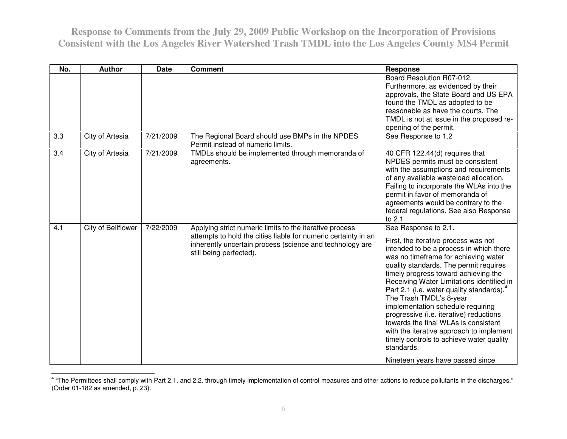| No. | <b>Author</b>      | <b>Date</b> | <b>Comment</b>                                                                                                                                                                                                   | <b>Response</b>                                                                                                                                                                                                                                                                                                                                                                                                                                                                                                                                                                                                                      |
|-----|--------------------|-------------|------------------------------------------------------------------------------------------------------------------------------------------------------------------------------------------------------------------|--------------------------------------------------------------------------------------------------------------------------------------------------------------------------------------------------------------------------------------------------------------------------------------------------------------------------------------------------------------------------------------------------------------------------------------------------------------------------------------------------------------------------------------------------------------------------------------------------------------------------------------|
|     |                    |             |                                                                                                                                                                                                                  | Board Resolution R07-012.<br>Furthermore, as evidenced by their<br>approvals, the State Board and US EPA<br>found the TMDL as adopted to be<br>reasonable as have the courts. The<br>TMDL is not at issue in the proposed re-<br>opening of the permit.                                                                                                                                                                                                                                                                                                                                                                              |
| 3.3 | City of Artesia    | 7/21/2009   | The Regional Board should use BMPs in the NPDES<br>Permit instead of numeric limits.                                                                                                                             | See Response to 1.2                                                                                                                                                                                                                                                                                                                                                                                                                                                                                                                                                                                                                  |
| 3.4 | City of Artesia    | 7/21/2009   | TMDLs should be implemented through memoranda of<br>agreements.                                                                                                                                                  | 40 CFR 122.44(d) requires that<br>NPDES permits must be consistent<br>with the assumptions and requirements<br>of any available wasteload allocation.<br>Failing to incorporate the WLAs into the<br>permit in favor of memoranda of<br>agreements would be contrary to the<br>federal regulations. See also Response<br>to 2.1                                                                                                                                                                                                                                                                                                      |
| 4.1 | City of Bellflower | 7/22/2009   | Applying strict numeric limits to the iterative process<br>attempts to hold the cities liable for numeric certainty in an<br>inherently uncertain process (science and technology are<br>still being perfected). | See Response to 2.1.<br>First, the iterative process was not<br>intended to be a process in which there<br>was no timeframe for achieving water<br>quality standards. The permit requires<br>timely progress toward achieving the<br>Receiving Water Limitations identified in<br>Part 2.1 (i.e. water quality standards). <sup>4</sup><br>The Trash TMDL's 8-year<br>implementation schedule requiring<br>progressive (i.e. iterative) reductions<br>towards the final WLAs is consistent<br>with the iterative approach to implement<br>timely controls to achieve water quality<br>standards.<br>Nineteen years have passed since |

<sup>&</sup>lt;sup>4</sup> "The Permittees shall comply with Part 2.1. and 2.2. through timely implementation of control measures and other actions to reduce pollutants in the discharges."<br>(Order 01-182 as amended, p. 23).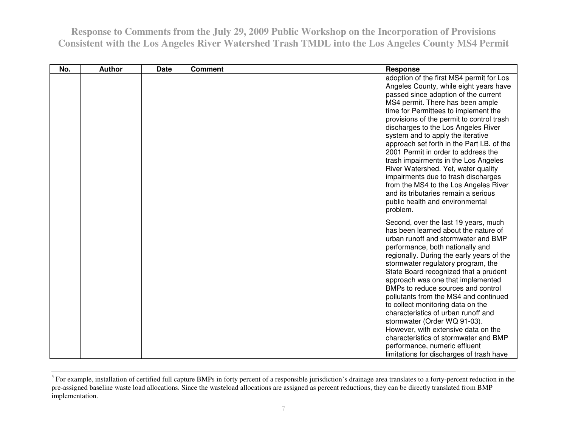| No. | <b>Author</b> | <b>Date</b> | <b>Comment</b> | <b>Response</b>                                                                                                                                                                                                                                                                                                                                                                                                                                                                                                                                                                                                                                                                  |
|-----|---------------|-------------|----------------|----------------------------------------------------------------------------------------------------------------------------------------------------------------------------------------------------------------------------------------------------------------------------------------------------------------------------------------------------------------------------------------------------------------------------------------------------------------------------------------------------------------------------------------------------------------------------------------------------------------------------------------------------------------------------------|
|     |               |             |                | adoption of the first MS4 permit for Los<br>Angeles County, while eight years have<br>passed since adoption of the current<br>MS4 permit. There has been ample<br>time for Permittees to implement the<br>provisions of the permit to control trash<br>discharges to the Los Angeles River<br>system and to apply the iterative<br>approach set forth in the Part I.B. of the<br>2001 Permit in order to address the<br>trash impairments in the Los Angeles<br>River Watershed. Yet, water quality<br>impairments due to trash discharges<br>from the MS4 to the Los Angeles River<br>and its tributaries remain a serious<br>public health and environmental<br>problem.       |
|     |               |             |                | Second, over the last 19 years, much<br>has been learned about the nature of<br>urban runoff and stormwater and BMP<br>performance, both nationally and<br>regionally. During the early years of the<br>stormwater regulatory program, the<br>State Board recognized that a prudent<br>approach was one that implemented<br>BMPs to reduce sources and control<br>pollutants from the MS4 and continued<br>to collect monitoring data on the<br>characteristics of urban runoff and<br>stormwater (Order WQ 91-03).<br>However, with extensive data on the<br>characteristics of stormwater and BMP<br>performance, numeric effluent<br>limitations for discharges of trash have |

 $<sup>5</sup>$  For example, installation of certified full capture BMPs in forty percent of a responsible jurisdiction's drainage area translates to a forty-percent reduction in the</sup> pre-assigned baseline waste load allocations. Since the wasteload allocations are assigned as percent reductions, they can be directly translated from BMP implementation.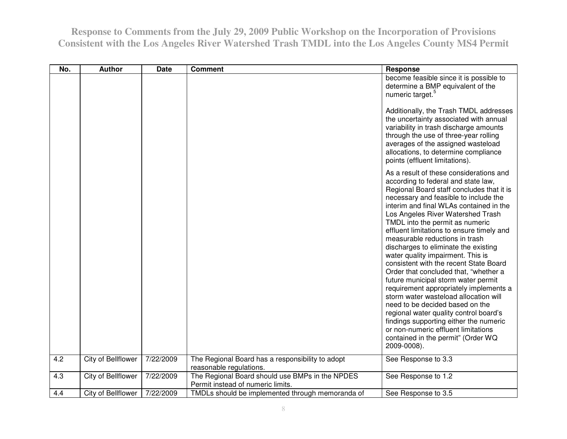| No. | <b>Author</b>      | <b>Date</b> | <b>Comment</b>                                                                       | <b>Response</b>                                                                                                                                                                                                                                                                                                                                                                                                                                                                                                                                                                                                                                                                                                                                                                                                                                                                     |
|-----|--------------------|-------------|--------------------------------------------------------------------------------------|-------------------------------------------------------------------------------------------------------------------------------------------------------------------------------------------------------------------------------------------------------------------------------------------------------------------------------------------------------------------------------------------------------------------------------------------------------------------------------------------------------------------------------------------------------------------------------------------------------------------------------------------------------------------------------------------------------------------------------------------------------------------------------------------------------------------------------------------------------------------------------------|
|     |                    |             |                                                                                      | become feasible since it is possible to<br>determine a BMP equivalent of the<br>numeric target. <sup>5</sup>                                                                                                                                                                                                                                                                                                                                                                                                                                                                                                                                                                                                                                                                                                                                                                        |
|     |                    |             |                                                                                      | Additionally, the Trash TMDL addresses<br>the uncertainty associated with annual<br>variability in trash discharge amounts<br>through the use of three-year rolling<br>averages of the assigned wasteload<br>allocations, to determine compliance<br>points (effluent limitations).                                                                                                                                                                                                                                                                                                                                                                                                                                                                                                                                                                                                 |
|     |                    |             |                                                                                      | As a result of these considerations and<br>according to federal and state law,<br>Regional Board staff concludes that it is<br>necessary and feasible to include the<br>interim and final WLAs contained in the<br>Los Angeles River Watershed Trash<br>TMDL into the permit as numeric<br>effluent limitations to ensure timely and<br>measurable reductions in trash<br>discharges to eliminate the existing<br>water quality impairment. This is<br>consistent with the recent State Board<br>Order that concluded that, "whether a<br>future municipal storm water permit<br>requirement appropriately implements a<br>storm water wasteload allocation will<br>need to be decided based on the<br>regional water quality control board's<br>findings supporting either the numeric<br>or non-numeric effluent limitations<br>contained in the permit" (Order WQ<br>2009-0008). |
| 4.2 | City of Bellflower | 7/22/2009   | The Regional Board has a responsibility to adopt<br>reasonable regulations.          | See Response to 3.3                                                                                                                                                                                                                                                                                                                                                                                                                                                                                                                                                                                                                                                                                                                                                                                                                                                                 |
| 4.3 | City of Bellflower | 7/22/2009   | The Regional Board should use BMPs in the NPDES<br>Permit instead of numeric limits. | See Response to 1.2                                                                                                                                                                                                                                                                                                                                                                                                                                                                                                                                                                                                                                                                                                                                                                                                                                                                 |
| 4.4 | City of Bellflower | 7/22/2009   | TMDLs should be implemented through memoranda of                                     | See Response to 3.5                                                                                                                                                                                                                                                                                                                                                                                                                                                                                                                                                                                                                                                                                                                                                                                                                                                                 |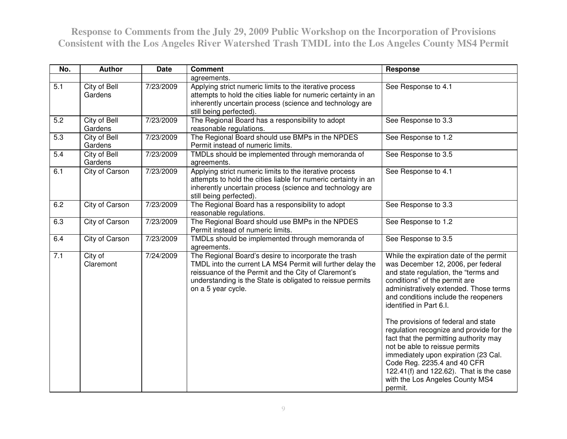| No. | <b>Author</b>           | <b>Date</b> | <b>Comment</b>                                                                                                                                                                                                                                                 | <b>Response</b>                                                                                                                                                                                                                                                                                                                                                                                                                                                                                                                                                                                    |
|-----|-------------------------|-------------|----------------------------------------------------------------------------------------------------------------------------------------------------------------------------------------------------------------------------------------------------------------|----------------------------------------------------------------------------------------------------------------------------------------------------------------------------------------------------------------------------------------------------------------------------------------------------------------------------------------------------------------------------------------------------------------------------------------------------------------------------------------------------------------------------------------------------------------------------------------------------|
|     |                         |             | agreements.                                                                                                                                                                                                                                                    |                                                                                                                                                                                                                                                                                                                                                                                                                                                                                                                                                                                                    |
| 5.1 | City of Bell<br>Gardens | 7/23/2009   | Applying strict numeric limits to the iterative process<br>attempts to hold the cities liable for numeric certainty in an<br>inherently uncertain process (science and technology are<br>still being perfected).                                               | See Response to 4.1                                                                                                                                                                                                                                                                                                                                                                                                                                                                                                                                                                                |
| 5.2 | City of Bell<br>Gardens | 7/23/2009   | The Regional Board has a responsibility to adopt<br>reasonable regulations.                                                                                                                                                                                    | See Response to 3.3                                                                                                                                                                                                                                                                                                                                                                                                                                                                                                                                                                                |
| 5.3 | City of Bell<br>Gardens | 7/23/2009   | The Regional Board should use BMPs in the NPDES<br>Permit instead of numeric limits.                                                                                                                                                                           | See Response to 1.2                                                                                                                                                                                                                                                                                                                                                                                                                                                                                                                                                                                |
| 5.4 | City of Bell<br>Gardens | 7/23/2009   | TMDLs should be implemented through memoranda of<br>agreements.                                                                                                                                                                                                | See Response to 3.5                                                                                                                                                                                                                                                                                                                                                                                                                                                                                                                                                                                |
| 6.1 | City of Carson          | 7/23/2009   | Applying strict numeric limits to the iterative process<br>attempts to hold the cities liable for numeric certainty in an<br>inherently uncertain process (science and technology are<br>still being perfected).                                               | See Response to 4.1                                                                                                                                                                                                                                                                                                                                                                                                                                                                                                                                                                                |
| 6.2 | <b>City of Carson</b>   | 7/23/2009   | The Regional Board has a responsibility to adopt<br>reasonable regulations.                                                                                                                                                                                    | See Response to 3.3                                                                                                                                                                                                                                                                                                                                                                                                                                                                                                                                                                                |
| 6.3 | City of Carson          | 7/23/2009   | The Regional Board should use BMPs in the NPDES<br>Permit instead of numeric limits.                                                                                                                                                                           | See Response to 1.2                                                                                                                                                                                                                                                                                                                                                                                                                                                                                                                                                                                |
| 6.4 | City of Carson          | 7/23/2009   | TMDLs should be implemented through memoranda of<br>agreements.                                                                                                                                                                                                | See Response to 3.5                                                                                                                                                                                                                                                                                                                                                                                                                                                                                                                                                                                |
| 7.1 | City of<br>Claremont    | 7/24/2009   | The Regional Board's desire to incorporate the trash<br>TMDL into the current LA MS4 Permit will further delay the<br>reissuance of the Permit and the City of Claremont's<br>understanding is the State is obligated to reissue permits<br>on a 5 year cycle. | While the expiration date of the permit<br>was December 12, 2006, per federal<br>and state regulation, the "terms and<br>conditions" of the permit are<br>administratively extended. Those terms<br>and conditions include the reopeners<br>identified in Part 6.I.<br>The provisions of federal and state<br>regulation recognize and provide for the<br>fact that the permitting authority may<br>not be able to reissue permits<br>immediately upon expiration (23 Cal.<br>Code Reg. 2235.4 and 40 CFR<br>122.41(f) and 122.62). That is the case<br>with the Los Angeles County MS4<br>permit. |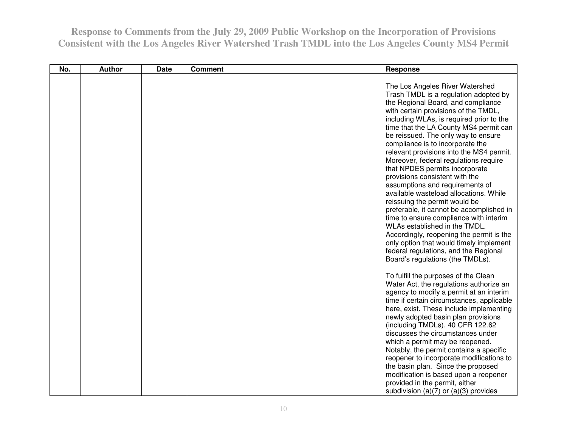| No. | <b>Author</b> | <b>Date</b> | <b>Comment</b> | Response                                                                                                                                                                                                                                                                                                                                                                                                                                                                                                                                                                                                                                                                                                                                                                                                                                                                                  |
|-----|---------------|-------------|----------------|-------------------------------------------------------------------------------------------------------------------------------------------------------------------------------------------------------------------------------------------------------------------------------------------------------------------------------------------------------------------------------------------------------------------------------------------------------------------------------------------------------------------------------------------------------------------------------------------------------------------------------------------------------------------------------------------------------------------------------------------------------------------------------------------------------------------------------------------------------------------------------------------|
|     |               |             |                | The Los Angeles River Watershed<br>Trash TMDL is a regulation adopted by<br>the Regional Board, and compliance<br>with certain provisions of the TMDL,<br>including WLAs, is required prior to the<br>time that the LA County MS4 permit can<br>be reissued. The only way to ensure<br>compliance is to incorporate the<br>relevant provisions into the MS4 permit.<br>Moreover, federal regulations require<br>that NPDES permits incorporate<br>provisions consistent with the<br>assumptions and requirements of<br>available wasteload allocations. While<br>reissuing the permit would be<br>preferable, it cannot be accomplished in<br>time to ensure compliance with interim<br>WLAs established in the TMDL.<br>Accordingly, reopening the permit is the<br>only option that would timely implement<br>federal regulations, and the Regional<br>Board's regulations (the TMDLs). |
|     |               |             |                | To fulfill the purposes of the Clean<br>Water Act, the regulations authorize an<br>agency to modify a permit at an interim<br>time if certain circumstances, applicable<br>here, exist. These include implementing<br>newly adopted basin plan provisions<br>(including TMDLs). 40 CFR 122.62<br>discusses the circumstances under<br>which a permit may be reopened.<br>Notably, the permit contains a specific<br>reopener to incorporate modifications to<br>the basin plan. Since the proposed<br>modification is based upon a reopener<br>provided in the permit, either<br>subdivision (a) $(7)$ or (a) $(3)$ provides                                                                                                                                                                                                                                                              |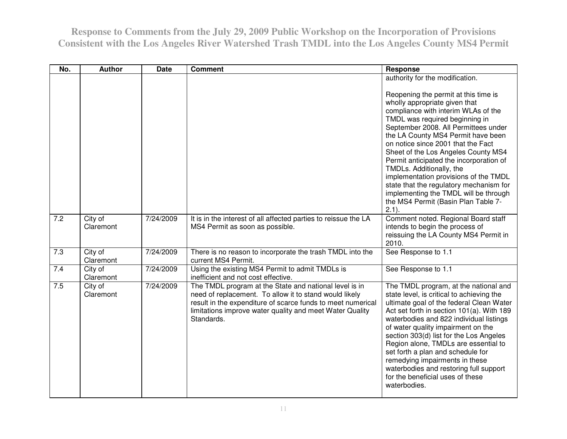| No. | <b>Author</b>        | <b>Date</b> | <b>Comment</b>                                                                                                                                                                                                                                            | <b>Response</b>                                                                                                                                                                                                                                                                                                                                                                                                                                                                                                                                                                                     |
|-----|----------------------|-------------|-----------------------------------------------------------------------------------------------------------------------------------------------------------------------------------------------------------------------------------------------------------|-----------------------------------------------------------------------------------------------------------------------------------------------------------------------------------------------------------------------------------------------------------------------------------------------------------------------------------------------------------------------------------------------------------------------------------------------------------------------------------------------------------------------------------------------------------------------------------------------------|
|     |                      |             |                                                                                                                                                                                                                                                           | authority for the modification.<br>Reopening the permit at this time is<br>wholly appropriate given that<br>compliance with interim WLAs of the<br>TMDL was required beginning in<br>September 2008. All Permittees under<br>the LA County MS4 Permit have been<br>on notice since 2001 that the Fact<br>Sheet of the Los Angeles County MS4<br>Permit anticipated the incorporation of<br>TMDLs. Additionally, the<br>implementation provisions of the TMDL<br>state that the regulatory mechanism for<br>implementing the TMDL will be through<br>the MS4 Permit (Basin Plan Table 7-<br>$2.1$ ). |
| 7.2 | City of<br>Claremont | 7/24/2009   | It is in the interest of all affected parties to reissue the LA<br>MS4 Permit as soon as possible.                                                                                                                                                        | Comment noted. Regional Board staff<br>intends to begin the process of<br>reissuing the LA County MS4 Permit in<br>2010.                                                                                                                                                                                                                                                                                                                                                                                                                                                                            |
| 7.3 | City of<br>Claremont | 7/24/2009   | There is no reason to incorporate the trash TMDL into the<br>current MS4 Permit.                                                                                                                                                                          | See Response to 1.1                                                                                                                                                                                                                                                                                                                                                                                                                                                                                                                                                                                 |
| 7.4 | City of<br>Claremont | 7/24/2009   | Using the existing MS4 Permit to admit TMDLs is<br>inefficient and not cost effective.                                                                                                                                                                    | See Response to 1.1                                                                                                                                                                                                                                                                                                                                                                                                                                                                                                                                                                                 |
| 7.5 | City of<br>Claremont | 7/24/2009   | The TMDL program at the State and national level is in<br>need of replacement. To allow it to stand would likely<br>result in the expenditure of scarce funds to meet numerical<br>limitations improve water quality and meet Water Quality<br>Standards. | The TMDL program, at the national and<br>state level, is critical to achieving the<br>ultimate goal of the federal Clean Water<br>Act set forth in section 101(a). With 189<br>waterbodies and 822 individual listings<br>of water quality impairment on the<br>section 303(d) list for the Los Angeles<br>Region alone, TMDLs are essential to<br>set forth a plan and schedule for<br>remedying impairments in these<br>waterbodies and restoring full support<br>for the beneficial uses of these<br>waterbodies.                                                                                |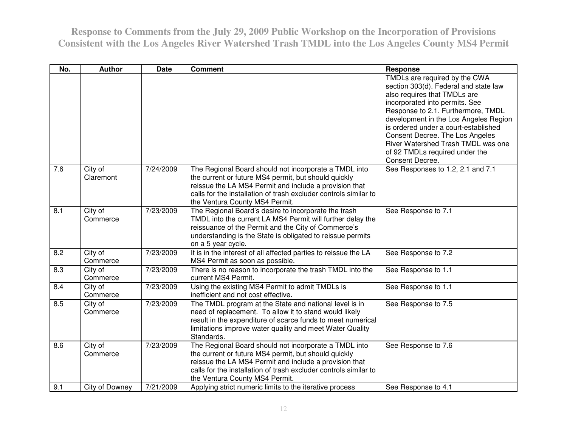| No. | <b>Author</b>        | <b>Date</b> | <b>Comment</b>                                                                                                                                                                                                                                                                | Response                                                                                                                                                                                                                                                                                                                                                                                      |
|-----|----------------------|-------------|-------------------------------------------------------------------------------------------------------------------------------------------------------------------------------------------------------------------------------------------------------------------------------|-----------------------------------------------------------------------------------------------------------------------------------------------------------------------------------------------------------------------------------------------------------------------------------------------------------------------------------------------------------------------------------------------|
|     |                      |             |                                                                                                                                                                                                                                                                               | TMDLs are required by the CWA<br>section 303(d). Federal and state law<br>also requires that TMDLs are<br>incorporated into permits. See<br>Response to 2.1. Furthermore, TMDL<br>development in the Los Angeles Region<br>is ordered under a court-established<br>Consent Decree. The Los Angeles<br>River Watershed Trash TMDL was one<br>of 92 TMDLs required under the<br>Consent Decree. |
| 7.6 | City of<br>Claremont | 7/24/2009   | The Regional Board should not incorporate a TMDL into<br>the current or future MS4 permit, but should quickly<br>reissue the LA MS4 Permit and include a provision that<br>calls for the installation of trash excluder controls similar to<br>the Ventura County MS4 Permit. | See Responses to 1.2, 2.1 and 7.1                                                                                                                                                                                                                                                                                                                                                             |
| 8.1 | City of<br>Commerce  | 7/23/2009   | The Regional Board's desire to incorporate the trash<br>TMDL into the current LA MS4 Permit will further delay the<br>reissuance of the Permit and the City of Commerce's<br>understanding is the State is obligated to reissue permits<br>on a 5 year cycle.                 | See Response to 7.1                                                                                                                                                                                                                                                                                                                                                                           |
| 8.2 | City of<br>Commerce  | 7/23/2009   | It is in the interest of all affected parties to reissue the LA<br>MS4 Permit as soon as possible.                                                                                                                                                                            | See Response to 7.2                                                                                                                                                                                                                                                                                                                                                                           |
| 8.3 | City of<br>Commerce  | 7/23/2009   | There is no reason to incorporate the trash TMDL into the<br>current MS4 Permit.                                                                                                                                                                                              | See Response to 1.1                                                                                                                                                                                                                                                                                                                                                                           |
| 8.4 | City of<br>Commerce  | 7/23/2009   | Using the existing MS4 Permit to admit TMDLs is<br>inefficient and not cost effective.                                                                                                                                                                                        | See Response to 1.1                                                                                                                                                                                                                                                                                                                                                                           |
| 8.5 | City of<br>Commerce  | 7/23/2009   | The TMDL program at the State and national level is in<br>need of replacement. To allow it to stand would likely<br>result in the expenditure of scarce funds to meet numerical<br>limitations improve water quality and meet Water Quality<br>Standards.                     | See Response to 7.5                                                                                                                                                                                                                                                                                                                                                                           |
| 8.6 | City of<br>Commerce  | 7/23/2009   | The Regional Board should not incorporate a TMDL into<br>the current or future MS4 permit, but should quickly<br>reissue the LA MS4 Permit and include a provision that<br>calls for the installation of trash excluder controls similar to<br>the Ventura County MS4 Permit. | See Response to 7.6                                                                                                                                                                                                                                                                                                                                                                           |
| 9.1 | City of Downey       | 7/21/2009   | Applying strict numeric limits to the iterative process                                                                                                                                                                                                                       | See Response to 4.1                                                                                                                                                                                                                                                                                                                                                                           |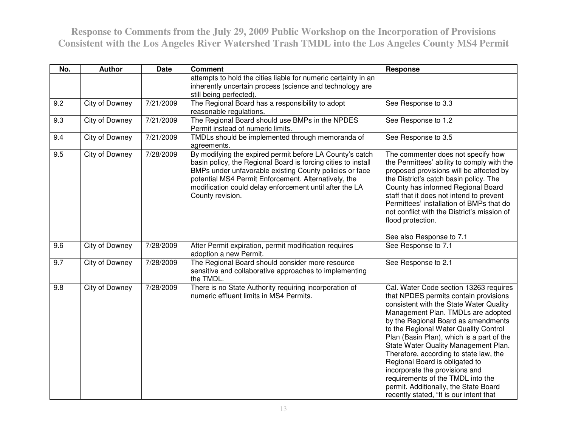| No. | <b>Author</b>  | <b>Date</b> | <b>Comment</b>                                                                                                                                                                                                                                                                                                              | Response                                                                                                                                                                                                                                                                                                                                                                                                                                                                                                                                                                     |
|-----|----------------|-------------|-----------------------------------------------------------------------------------------------------------------------------------------------------------------------------------------------------------------------------------------------------------------------------------------------------------------------------|------------------------------------------------------------------------------------------------------------------------------------------------------------------------------------------------------------------------------------------------------------------------------------------------------------------------------------------------------------------------------------------------------------------------------------------------------------------------------------------------------------------------------------------------------------------------------|
|     |                |             | attempts to hold the cities liable for numeric certainty in an<br>inherently uncertain process (science and technology are<br>still being perfected).                                                                                                                                                                       |                                                                                                                                                                                                                                                                                                                                                                                                                                                                                                                                                                              |
| 9.2 | City of Downey | 7/21/2009   | The Regional Board has a responsibility to adopt<br>reasonable regulations.                                                                                                                                                                                                                                                 | See Response to 3.3                                                                                                                                                                                                                                                                                                                                                                                                                                                                                                                                                          |
| 9.3 | City of Downey | 7/21/2009   | The Regional Board should use BMPs in the NPDES<br>Permit instead of numeric limits.                                                                                                                                                                                                                                        | See Response to 1.2                                                                                                                                                                                                                                                                                                                                                                                                                                                                                                                                                          |
| 9.4 | City of Downey | 7/21/2009   | TMDLs should be implemented through memoranda of<br>agreements.                                                                                                                                                                                                                                                             | See Response to 3.5                                                                                                                                                                                                                                                                                                                                                                                                                                                                                                                                                          |
| 9.5 | City of Downey | 7/28/2009   | By modifying the expired permit before LA County's catch<br>basin policy, the Regional Board is forcing cities to install<br>BMPs under unfavorable existing County policies or face<br>potential MS4 Permit Enforcement. Alternatively, the<br>modification could delay enforcement until after the LA<br>County revision. | The commenter does not specify how<br>the Permittees' ability to comply with the<br>proposed provisions will be affected by<br>the District's catch basin policy. The<br>County has informed Regional Board<br>staff that it does not intend to prevent<br>Permittees' installation of BMPs that do<br>not conflict with the District's mission of<br>flood protection.                                                                                                                                                                                                      |
|     |                |             |                                                                                                                                                                                                                                                                                                                             | See also Response to 7.1                                                                                                                                                                                                                                                                                                                                                                                                                                                                                                                                                     |
| 9.6 | City of Downey | 7/28/2009   | After Permit expiration, permit modification requires<br>adoption a new Permit.                                                                                                                                                                                                                                             | See Response to 7.1                                                                                                                                                                                                                                                                                                                                                                                                                                                                                                                                                          |
| 9.7 | City of Downey | 7/28/2009   | The Regional Board should consider more resource<br>sensitive and collaborative approaches to implementing<br>the TMDL.                                                                                                                                                                                                     | See Response to 2.1                                                                                                                                                                                                                                                                                                                                                                                                                                                                                                                                                          |
| 9.8 | City of Downey | 7/28/2009   | There is no State Authority requiring incorporation of<br>numeric effluent limits in MS4 Permits.                                                                                                                                                                                                                           | Cal. Water Code section 13263 requires<br>that NPDES permits contain provisions<br>consistent with the State Water Quality<br>Management Plan. TMDLs are adopted<br>by the Regional Board as amendments<br>to the Regional Water Quality Control<br>Plan (Basin Plan), which is a part of the<br>State Water Quality Management Plan.<br>Therefore, according to state law, the<br>Regional Board is obligated to<br>incorporate the provisions and<br>requirements of the TMDL into the<br>permit. Additionally, the State Board<br>recently stated, "It is our intent that |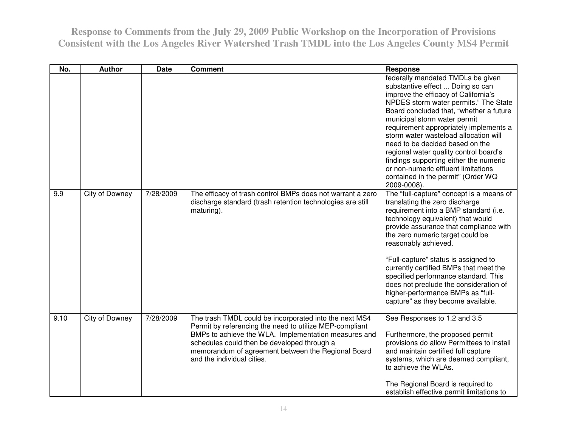| No.  | <b>Author</b>  | <b>Date</b> | <b>Comment</b>                                                                                                                                                                                                                                                                                               | <b>Response</b>                                                                                                                                                                                                                                                                                                                                                                                                                                                                                                                          |
|------|----------------|-------------|--------------------------------------------------------------------------------------------------------------------------------------------------------------------------------------------------------------------------------------------------------------------------------------------------------------|------------------------------------------------------------------------------------------------------------------------------------------------------------------------------------------------------------------------------------------------------------------------------------------------------------------------------------------------------------------------------------------------------------------------------------------------------------------------------------------------------------------------------------------|
|      |                |             |                                                                                                                                                                                                                                                                                                              | federally mandated TMDLs be given<br>substantive effect  Doing so can<br>improve the efficacy of California's<br>NPDES storm water permits." The State<br>Board concluded that, "whether a future"<br>municipal storm water permit<br>requirement appropriately implements a<br>storm water wasteload allocation will<br>need to be decided based on the<br>regional water quality control board's<br>findings supporting either the numeric<br>or non-numeric effluent limitations<br>contained in the permit" (Order WQ<br>2009-0008). |
| 9.9  | City of Downey | 7/28/2009   | The efficacy of trash control BMPs does not warrant a zero<br>discharge standard (trash retention technologies are still<br>maturing).                                                                                                                                                                       | The "full-capture" concept is a means of<br>translating the zero discharge<br>requirement into a BMP standard (i.e.<br>technology equivalent) that would<br>provide assurance that compliance with<br>the zero numeric target could be<br>reasonably achieved.<br>"Full-capture" status is assigned to<br>currently certified BMPs that meet the<br>specified performance standard. This<br>does not preclude the consideration of<br>higher-performance BMPs as "full-<br>capture" as they become available.                            |
| 9.10 | City of Downey | 7/28/2009   | The trash TMDL could be incorporated into the next MS4<br>Permit by referencing the need to utilize MEP-compliant<br>BMPs to achieve the WLA. Implementation measures and<br>schedules could then be developed through a<br>memorandum of agreement between the Regional Board<br>and the individual cities. | See Responses to 1.2 and 3.5<br>Furthermore, the proposed permit<br>provisions do allow Permittees to install<br>and maintain certified full capture<br>systems, which are deemed compliant,<br>to achieve the WLAs.<br>The Regional Board is required to<br>establish effective permit limitations to                                                                                                                                                                                                                                   |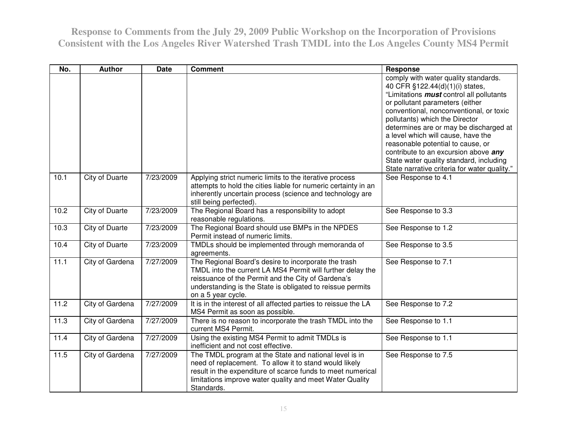| No.  | <b>Author</b>         | <b>Date</b> | <b>Comment</b>                                                                                                                                                                                                                                               | <b>Response</b>                                                                                                                                                                                                                                                                                                                                                                                                                                                                                    |
|------|-----------------------|-------------|--------------------------------------------------------------------------------------------------------------------------------------------------------------------------------------------------------------------------------------------------------------|----------------------------------------------------------------------------------------------------------------------------------------------------------------------------------------------------------------------------------------------------------------------------------------------------------------------------------------------------------------------------------------------------------------------------------------------------------------------------------------------------|
|      |                       |             |                                                                                                                                                                                                                                                              | comply with water quality standards.<br>40 CFR §122.44(d)(1)(i) states,<br>"Limitations <i>must</i> control all pollutants<br>or pollutant parameters (either<br>conventional, nonconventional, or toxic<br>pollutants) which the Director<br>determines are or may be discharged at<br>a level which will cause, have the<br>reasonable potential to cause, or<br>contribute to an excursion above any<br>State water quality standard, including<br>State narrative criteria for water quality." |
| 10.1 | <b>City of Duarte</b> | 7/23/2009   | Applying strict numeric limits to the iterative process<br>attempts to hold the cities liable for numeric certainty in an<br>inherently uncertain process (science and technology are<br>still being perfected).                                             | See Response to 4.1                                                                                                                                                                                                                                                                                                                                                                                                                                                                                |
| 10.2 | City of Duarte        | 7/23/2009   | The Regional Board has a responsibility to adopt<br>reasonable regulations.                                                                                                                                                                                  | See Response to 3.3                                                                                                                                                                                                                                                                                                                                                                                                                                                                                |
| 10.3 | <b>City of Duarte</b> | 7/23/2009   | The Regional Board should use BMPs in the NPDES<br>Permit instead of numeric limits.                                                                                                                                                                         | See Response to 1.2                                                                                                                                                                                                                                                                                                                                                                                                                                                                                |
| 10.4 | City of Duarte        | 7/23/2009   | TMDLs should be implemented through memoranda of<br>agreements.                                                                                                                                                                                              | See Response to 3.5                                                                                                                                                                                                                                                                                                                                                                                                                                                                                |
| 11.1 | City of Gardena       | 7/27/2009   | The Regional Board's desire to incorporate the trash<br>TMDL into the current LA MS4 Permit will further delay the<br>reissuance of the Permit and the City of Gardena's<br>understanding is the State is obligated to reissue permits<br>on a 5 year cycle. | See Response to 7.1                                                                                                                                                                                                                                                                                                                                                                                                                                                                                |
| 11.2 | City of Gardena       | 7/27/2009   | It is in the interest of all affected parties to reissue the LA<br>MS4 Permit as soon as possible.                                                                                                                                                           | See Response to 7.2                                                                                                                                                                                                                                                                                                                                                                                                                                                                                |
| 11.3 | City of Gardena       | 7/27/2009   | There is no reason to incorporate the trash TMDL into the<br>current MS4 Permit.                                                                                                                                                                             | See Response to 1.1                                                                                                                                                                                                                                                                                                                                                                                                                                                                                |
| 11.4 | City of Gardena       | 7/27/2009   | Using the existing MS4 Permit to admit TMDLs is<br>inefficient and not cost effective.                                                                                                                                                                       | See Response to 1.1                                                                                                                                                                                                                                                                                                                                                                                                                                                                                |
| 11.5 | City of Gardena       | 7/27/2009   | The TMDL program at the State and national level is in<br>need of replacement. To allow it to stand would likely<br>result in the expenditure of scarce funds to meet numerical<br>limitations improve water quality and meet Water Quality<br>Standards.    | See Response to 7.5                                                                                                                                                                                                                                                                                                                                                                                                                                                                                |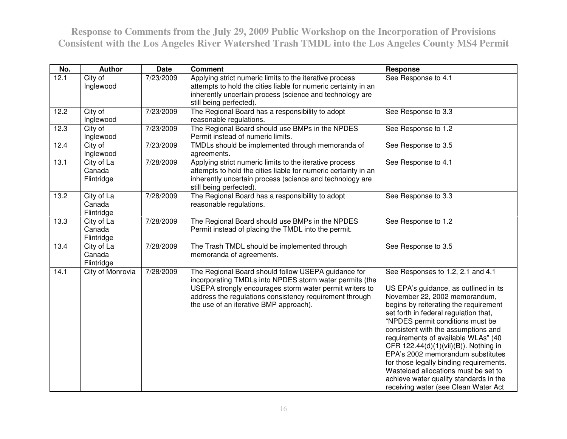| No.  | <b>Author</b>                      | <b>Date</b> | <b>Comment</b>                                                                                                                                                                                                                                                                 | Response                                                                                                                                                                                                                                                                                                                                                                                                                                                                                                                                                           |
|------|------------------------------------|-------------|--------------------------------------------------------------------------------------------------------------------------------------------------------------------------------------------------------------------------------------------------------------------------------|--------------------------------------------------------------------------------------------------------------------------------------------------------------------------------------------------------------------------------------------------------------------------------------------------------------------------------------------------------------------------------------------------------------------------------------------------------------------------------------------------------------------------------------------------------------------|
| 12.1 | City of<br>Inglewood               | 7/23/2009   | Applying strict numeric limits to the iterative process<br>attempts to hold the cities liable for numeric certainty in an<br>inherently uncertain process (science and technology are<br>still being perfected).                                                               | See Response to 4.1                                                                                                                                                                                                                                                                                                                                                                                                                                                                                                                                                |
| 12.2 | City of<br>Inglewood               | 7/23/2009   | The Regional Board has a responsibility to adopt<br>reasonable regulations.                                                                                                                                                                                                    | See Response to 3.3                                                                                                                                                                                                                                                                                                                                                                                                                                                                                                                                                |
| 12.3 | City of<br>Inglewood               | 7/23/2009   | The Regional Board should use BMPs in the NPDES<br>Permit instead of numeric limits.                                                                                                                                                                                           | See Response to 1.2                                                                                                                                                                                                                                                                                                                                                                                                                                                                                                                                                |
| 12.4 | City of<br>Inglewood               | 7/23/2009   | TMDLs should be implemented through memoranda of<br>agreements.                                                                                                                                                                                                                | See Response to 3.5                                                                                                                                                                                                                                                                                                                                                                                                                                                                                                                                                |
| 13.1 | City of La<br>Canada<br>Flintridge | 7/28/2009   | Applying strict numeric limits to the iterative process<br>attempts to hold the cities liable for numeric certainty in an<br>inherently uncertain process (science and technology are<br>still being perfected).                                                               | See Response to 4.1                                                                                                                                                                                                                                                                                                                                                                                                                                                                                                                                                |
| 13.2 | City of La<br>Canada<br>Flintridge | 7/28/2009   | The Regional Board has a responsibility to adopt<br>reasonable regulations.                                                                                                                                                                                                    | See Response to 3.3                                                                                                                                                                                                                                                                                                                                                                                                                                                                                                                                                |
| 13.3 | City of La<br>Canada<br>Flintridge | 7/28/2009   | The Regional Board should use BMPs in the NPDES<br>Permit instead of placing the TMDL into the permit.                                                                                                                                                                         | See Response to 1.2                                                                                                                                                                                                                                                                                                                                                                                                                                                                                                                                                |
| 13.4 | City of La<br>Canada<br>Flintridge | 7/28/2009   | The Trash TMDL should be implemented through<br>memoranda of agreements.                                                                                                                                                                                                       | See Response to 3.5                                                                                                                                                                                                                                                                                                                                                                                                                                                                                                                                                |
| 14.1 | City of Monrovia                   | 7/28/2009   | The Regional Board should follow USEPA guidance for<br>incorporating TMDLs into NPDES storm water permits (the<br>USEPA strongly encourages storm water permit writers to<br>address the regulations consistency requirement through<br>the use of an iterative BMP approach). | See Responses to 1.2, 2.1 and 4.1<br>US EPA's guidance, as outlined in its<br>November 22, 2002 memorandum,<br>begins by reiterating the requirement<br>set forth in federal regulation that,<br>"NPDES permit conditions must be<br>consistent with the assumptions and<br>requirements of available WLAs" (40<br>CFR 122.44(d)(1)(vii)(B)). Nothing in<br>EPA's 2002 memorandum substitutes<br>for those legally binding requirements.<br>Wasteload allocations must be set to<br>achieve water quality standards in the<br>receiving water (see Clean Water Act |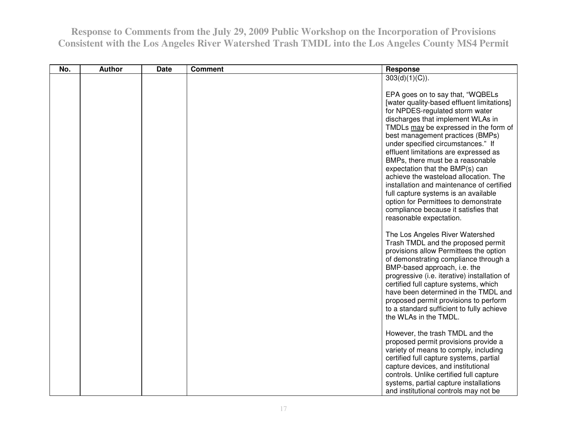| No. | <b>Author</b> | <b>Date</b> | <b>Comment</b> | <b>Response</b>                                                                                                                                                                                                                                                                                                                                                                                                                                                                                                                                                                                                                    |
|-----|---------------|-------------|----------------|------------------------------------------------------------------------------------------------------------------------------------------------------------------------------------------------------------------------------------------------------------------------------------------------------------------------------------------------------------------------------------------------------------------------------------------------------------------------------------------------------------------------------------------------------------------------------------------------------------------------------------|
|     |               |             |                | 303(d)(1)(C)).                                                                                                                                                                                                                                                                                                                                                                                                                                                                                                                                                                                                                     |
|     |               |             |                | EPA goes on to say that, "WQBELs<br>[water quality-based effluent limitations]<br>for NPDES-regulated storm water<br>discharges that implement WLAs in<br>TMDLs may be expressed in the form of<br>best management practices (BMPs)<br>under specified circumstances." If<br>effluent limitations are expressed as<br>BMPs, there must be a reasonable<br>expectation that the BMP(s) can<br>achieve the wasteload allocation. The<br>installation and maintenance of certified<br>full capture systems is an available<br>option for Permittees to demonstrate<br>compliance because it satisfies that<br>reasonable expectation. |
|     |               |             |                | The Los Angeles River Watershed<br>Trash TMDL and the proposed permit<br>provisions allow Permittees the option<br>of demonstrating compliance through a<br>BMP-based approach, i.e. the<br>progressive (i.e. iterative) installation of<br>certified full capture systems, which<br>have been determined in the TMDL and<br>proposed permit provisions to perform<br>to a standard sufficient to fully achieve<br>the WLAs in the TMDL.                                                                                                                                                                                           |
|     |               |             |                | However, the trash TMDL and the<br>proposed permit provisions provide a<br>variety of means to comply, including<br>certified full capture systems, partial<br>capture devices, and institutional<br>controls. Unlike certified full capture<br>systems, partial capture installations<br>and institutional controls may not be                                                                                                                                                                                                                                                                                                    |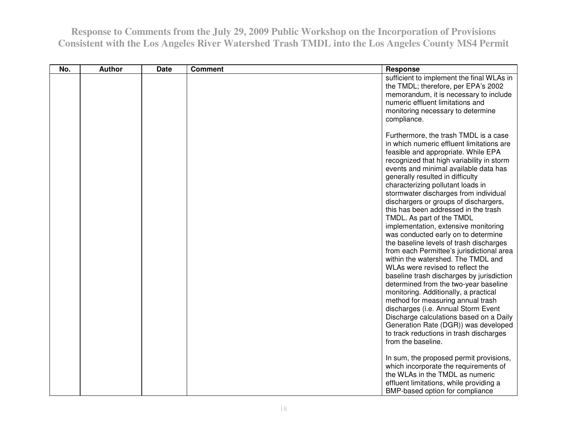| No. | <b>Author</b> | <b>Date</b> | <b>Comment</b> | Response                                                                                                                                                                                                                                                                                                                                                                                                                                                                                                                                                                                                                                                                                                                                                                                                                                                                                                                                                                                                                                  |
|-----|---------------|-------------|----------------|-------------------------------------------------------------------------------------------------------------------------------------------------------------------------------------------------------------------------------------------------------------------------------------------------------------------------------------------------------------------------------------------------------------------------------------------------------------------------------------------------------------------------------------------------------------------------------------------------------------------------------------------------------------------------------------------------------------------------------------------------------------------------------------------------------------------------------------------------------------------------------------------------------------------------------------------------------------------------------------------------------------------------------------------|
|     |               |             |                | sufficient to implement the final WLAs in<br>the TMDL; therefore, per EPA's 2002<br>memorandum, it is necessary to include<br>numeric effluent limitations and<br>monitoring necessary to determine<br>compliance.                                                                                                                                                                                                                                                                                                                                                                                                                                                                                                                                                                                                                                                                                                                                                                                                                        |
|     |               |             |                | Furthermore, the trash TMDL is a case<br>in which numeric effluent limitations are<br>feasible and appropriate. While EPA<br>recognized that high variability in storm<br>events and minimal available data has<br>generally resulted in difficulty<br>characterizing pollutant loads in<br>stormwater discharges from individual<br>dischargers or groups of dischargers,<br>this has been addressed in the trash<br>TMDL. As part of the TMDL<br>implementation, extensive monitoring<br>was conducted early on to determine<br>the baseline levels of trash discharges<br>from each Permittee's jurisdictional area<br>within the watershed. The TMDL and<br>WLAs were revised to reflect the<br>baseline trash discharges by jurisdiction<br>determined from the two-year baseline<br>monitoring. Additionally, a practical<br>method for measuring annual trash<br>discharges (i.e. Annual Storm Event<br>Discharge calculations based on a Daily<br>Generation Rate (DGR)) was developed<br>to track reductions in trash discharges |
|     |               |             |                | from the baseline.<br>In sum, the proposed permit provisions,<br>which incorporate the requirements of<br>the WLAs in the TMDL as numeric<br>effluent limitations, while providing a<br>BMP-based option for compliance                                                                                                                                                                                                                                                                                                                                                                                                                                                                                                                                                                                                                                                                                                                                                                                                                   |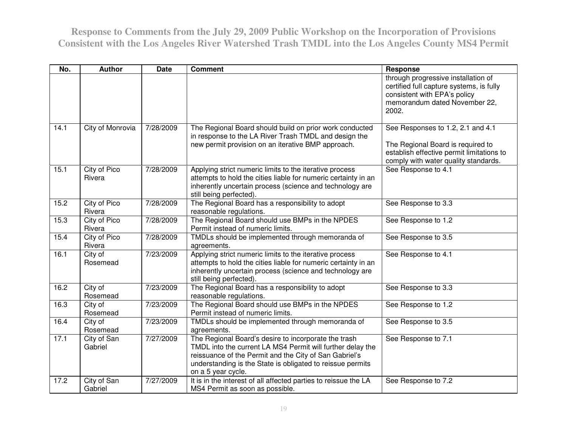| No.  | <b>Author</b>          | <b>Date</b> | <b>Comment</b>                                                                                                                                                                                                                                                   | <b>Response</b>                                                                                                                                             |
|------|------------------------|-------------|------------------------------------------------------------------------------------------------------------------------------------------------------------------------------------------------------------------------------------------------------------------|-------------------------------------------------------------------------------------------------------------------------------------------------------------|
|      |                        |             |                                                                                                                                                                                                                                                                  | through progressive installation of<br>certified full capture systems, is fully<br>consistent with EPA's policy<br>memorandum dated November 22,<br>2002.   |
| 14.1 | City of Monrovia       | 7/28/2009   | The Regional Board should build on prior work conducted<br>in response to the LA River Trash TMDL and design the<br>new permit provision on an iterative BMP approach.                                                                                           | See Responses to 1.2, 2.1 and 4.1<br>The Regional Board is required to<br>establish effective permit limitations to<br>comply with water quality standards. |
| 15.1 | City of Pico<br>Rivera | 7/28/2009   | Applying strict numeric limits to the iterative process<br>attempts to hold the cities liable for numeric certainty in an<br>inherently uncertain process (science and technology are<br>still being perfected).                                                 | See Response to 4.1                                                                                                                                         |
| 15.2 | City of Pico<br>Rivera | 7/28/2009   | The Regional Board has a responsibility to adopt<br>reasonable regulations.                                                                                                                                                                                      | See Response to 3.3                                                                                                                                         |
| 15.3 | City of Pico<br>Rivera | 7/28/2009   | The Regional Board should use BMPs in the NPDES<br>Permit instead of numeric limits.                                                                                                                                                                             | See Response to 1.2                                                                                                                                         |
| 15.4 | City of Pico<br>Rivera | 7/28/2009   | TMDLs should be implemented through memoranda of<br>agreements.                                                                                                                                                                                                  | See Response to 3.5                                                                                                                                         |
| 16.1 | City of<br>Rosemead    | 7/23/2009   | Applying strict numeric limits to the iterative process<br>attempts to hold the cities liable for numeric certainty in an<br>inherently uncertain process (science and technology are<br>still being perfected).                                                 | See Response to 4.1                                                                                                                                         |
| 16.2 | City of<br>Rosemead    | 7/23/2009   | The Regional Board has a responsibility to adopt<br>reasonable regulations.                                                                                                                                                                                      | See Response to 3.3                                                                                                                                         |
| 16.3 | City of<br>Rosemead    | 7/23/2009   | The Regional Board should use BMPs in the NPDES<br>Permit instead of numeric limits.                                                                                                                                                                             | See Response to 1.2                                                                                                                                         |
| 16.4 | City of<br>Rosemead    | 7/23/2009   | TMDLs should be implemented through memoranda of<br>agreements.                                                                                                                                                                                                  | See Response to 3.5                                                                                                                                         |
| 17.1 | City of San<br>Gabriel | 7/27/2009   | The Regional Board's desire to incorporate the trash<br>TMDL into the current LA MS4 Permit will further delay the<br>reissuance of the Permit and the City of San Gabriel's<br>understanding is the State is obligated to reissue permits<br>on a 5 year cycle. | See Response to 7.1                                                                                                                                         |
| 17.2 | City of San<br>Gabriel | 7/27/2009   | It is in the interest of all affected parties to reissue the LA<br>MS4 Permit as soon as possible.                                                                                                                                                               | See Response to 7.2                                                                                                                                         |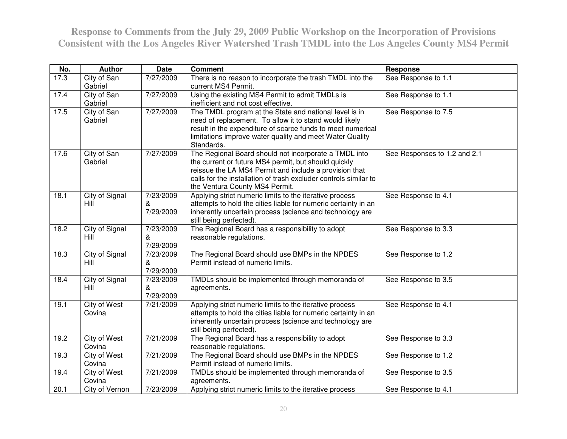| No.  | <b>Author</b>                        | <b>Date</b>                 | <b>Comment</b>                                                                                                                                                                                                                                                                | <b>Response</b>              |
|------|--------------------------------------|-----------------------------|-------------------------------------------------------------------------------------------------------------------------------------------------------------------------------------------------------------------------------------------------------------------------------|------------------------------|
| 17.3 | City of San<br>Gabriel               | 7/27/2009                   | There is no reason to incorporate the trash TMDL into the<br>current MS4 Permit.                                                                                                                                                                                              | See Response to 1.1          |
| 17.4 | City of San<br>Gabriel               | 7/27/2009                   | Using the existing MS4 Permit to admit TMDLs is<br>inefficient and not cost effective.                                                                                                                                                                                        | See Response to 1.1          |
| 17.5 | City of San<br>Gabriel               | 7/27/2009                   | The TMDL program at the State and national level is in<br>need of replacement. To allow it to stand would likely<br>result in the expenditure of scarce funds to meet numerical<br>limitations improve water quality and meet Water Quality<br>Standards.                     | See Response to 7.5          |
| 17.6 | City of San<br>Gabriel               | 7/27/2009                   | The Regional Board should not incorporate a TMDL into<br>the current or future MS4 permit, but should quickly<br>reissue the LA MS4 Permit and include a provision that<br>calls for the installation of trash excluder controls similar to<br>the Ventura County MS4 Permit. | See Responses to 1.2 and 2.1 |
| 18.1 | City of Signal<br>Hill               | 7/23/2009<br>&<br>7/29/2009 | Applying strict numeric limits to the iterative process<br>attempts to hold the cities liable for numeric certainty in an<br>inherently uncertain process (science and technology are<br>still being perfected).                                                              | See Response to 4.1          |
| 18.2 | <b>City of Signal</b><br><b>Hill</b> | 7/23/2009<br>&<br>7/29/2009 | The Regional Board has a responsibility to adopt<br>reasonable regulations.                                                                                                                                                                                                   | See Response to 3.3          |
| 18.3 | City of Signal<br>Hill               | 7/23/2009<br>&<br>7/29/2009 | The Regional Board should use BMPs in the NPDES<br>Permit instead of numeric limits.                                                                                                                                                                                          | See Response to 1.2          |
| 18.4 | City of Signal<br>Hill               | 7/23/2009<br>&<br>7/29/2009 | TMDLs should be implemented through memoranda of<br>agreements.                                                                                                                                                                                                               | See Response to 3.5          |
| 19.1 | City of West<br>Covina               | 7/21/2009                   | Applying strict numeric limits to the iterative process<br>attempts to hold the cities liable for numeric certainty in an<br>inherently uncertain process (science and technology are<br>still being perfected).                                                              | See Response to 4.1          |
| 19.2 | City of West<br>Covina               | 7/21/2009                   | The Regional Board has a responsibility to adopt<br>reasonable regulations.                                                                                                                                                                                                   | See Response to 3.3          |
| 19.3 | City of West<br>Covina               | 7/21/2009                   | The Regional Board should use BMPs in the NPDES<br>Permit instead of numeric limits.                                                                                                                                                                                          | See Response to 1.2          |
| 19.4 | City of West<br>Covina               | 7/21/2009                   | TMDLs should be implemented through memoranda of<br>agreements.                                                                                                                                                                                                               | See Response to 3.5          |
| 20.1 | City of Vernon                       | 7/23/2009                   | Applying strict numeric limits to the iterative process                                                                                                                                                                                                                       | See Response to 4.1          |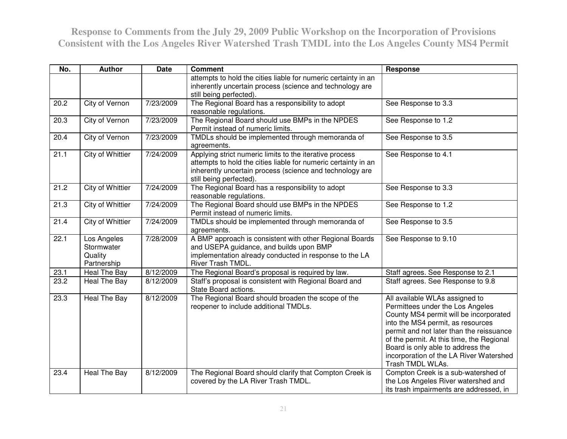| No.  | <b>Author</b>                                       | <b>Date</b>        | <b>Comment</b>                                                                                                                                                                                                   | <b>Response</b>                                                                                                                                                                                                                                                                                                                                |
|------|-----------------------------------------------------|--------------------|------------------------------------------------------------------------------------------------------------------------------------------------------------------------------------------------------------------|------------------------------------------------------------------------------------------------------------------------------------------------------------------------------------------------------------------------------------------------------------------------------------------------------------------------------------------------|
|      |                                                     |                    | attempts to hold the cities liable for numeric certainty in an<br>inherently uncertain process (science and technology are<br>still being perfected).                                                            |                                                                                                                                                                                                                                                                                                                                                |
| 20.2 | <b>City of Vernon</b>                               | 7/23/2009          | The Regional Board has a responsibility to adopt<br>reasonable regulations.                                                                                                                                      | See Response to 3.3                                                                                                                                                                                                                                                                                                                            |
| 20.3 | City of Vernon                                      | 7/23/2009          | The Regional Board should use BMPs in the NPDES<br>Permit instead of numeric limits.                                                                                                                             | See Response to 1.2                                                                                                                                                                                                                                                                                                                            |
| 20.4 | City of Vernon                                      | 7/23/2009          | TMDLs should be implemented through memoranda of<br>agreements.                                                                                                                                                  | See Response to 3.5                                                                                                                                                                                                                                                                                                                            |
| 21.1 | <b>City of Whittier</b>                             | 7/24/2009          | Applying strict numeric limits to the iterative process<br>attempts to hold the cities liable for numeric certainty in an<br>inherently uncertain process (science and technology are<br>still being perfected). | See Response to 4.1                                                                                                                                                                                                                                                                                                                            |
| 21.2 | City of Whittier                                    | 7/24/2009          | The Regional Board has a responsibility to adopt<br>reasonable regulations.                                                                                                                                      | See Response to 3.3                                                                                                                                                                                                                                                                                                                            |
| 21.3 | <b>City of Whittier</b>                             | 7/24/2009          | The Regional Board should use BMPs in the NPDES<br>Permit instead of numeric limits.                                                                                                                             | See Response to 1.2                                                                                                                                                                                                                                                                                                                            |
| 21.4 | City of Whittier                                    | 7/24/2009          | TMDLs should be implemented through memoranda of<br>agreements.                                                                                                                                                  | See Response to 3.5                                                                                                                                                                                                                                                                                                                            |
| 22.1 | Los Angeles<br>Stormwater<br>Quality<br>Partnership | 7/28/2009          | A BMP approach is consistent with other Regional Boards<br>and USEPA guidance, and builds upon BMP<br>implementation already conducted in response to the LA<br>River Trash TMDL.                                | See Response to 9.10                                                                                                                                                                                                                                                                                                                           |
| 23.1 | Heal The Bay                                        | 8/12/2009          | The Regional Board's proposal is required by law.                                                                                                                                                                | Staff agrees. See Response to 2.1                                                                                                                                                                                                                                                                                                              |
| 23.2 | Heal The Bay                                        | 8/12/2009          | Staff's proposal is consistent with Regional Board and<br>State Board actions.                                                                                                                                   | Staff agrees. See Response to 9.8                                                                                                                                                                                                                                                                                                              |
| 23.3 | <b>Heal The Bay</b>                                 | $\sqrt{8/12/2009}$ | The Regional Board should broaden the scope of the<br>reopener to include additional TMDLs.                                                                                                                      | All available WLAs assigned to<br>Permittees under the Los Angeles<br>County MS4 permit will be incorporated<br>into the MS4 permit, as resources<br>permit and not later than the reissuance<br>of the permit. At this time, the Regional<br>Board is only able to address the<br>incorporation of the LA River Watershed<br>Trash TMDL WLAs. |
| 23.4 | Heal The Bay                                        | 8/12/2009          | The Regional Board should clarify that Compton Creek is<br>covered by the LA River Trash TMDL.                                                                                                                   | Compton Creek is a sub-watershed of<br>the Los Angeles River watershed and<br>its trash impairments are addressed, in                                                                                                                                                                                                                          |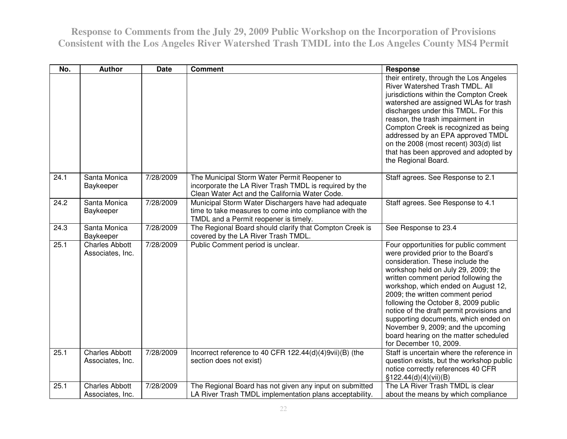| No.  | <b>Author</b>                             | <b>Date</b> | <b>Comment</b>                                                                                                                                           | <b>Response</b>                                                                                                                                                                                                                                                                                                                                                                                                                                                                                                 |
|------|-------------------------------------------|-------------|----------------------------------------------------------------------------------------------------------------------------------------------------------|-----------------------------------------------------------------------------------------------------------------------------------------------------------------------------------------------------------------------------------------------------------------------------------------------------------------------------------------------------------------------------------------------------------------------------------------------------------------------------------------------------------------|
|      |                                           |             |                                                                                                                                                          | their entirety, through the Los Angeles<br>River Watershed Trash TMDL. All<br>jurisdictions within the Compton Creek<br>watershed are assigned WLAs for trash<br>discharges under this TMDL. For this<br>reason, the trash impairment in<br>Compton Creek is recognized as being<br>addressed by an EPA approved TMDL<br>on the 2008 (most recent) 303(d) list<br>that has been approved and adopted by<br>the Regional Board.                                                                                  |
| 24.1 | Santa Monica<br>Baykeeper                 | 7/28/2009   | The Municipal Storm Water Permit Reopener to<br>incorporate the LA River Trash TMDL is required by the<br>Clean Water Act and the California Water Code. | Staff agrees. See Response to 2.1                                                                                                                                                                                                                                                                                                                                                                                                                                                                               |
| 24.2 | Santa Monica<br>Baykeeper                 | 7/28/2009   | Municipal Storm Water Dischargers have had adequate<br>time to take measures to come into compliance with the<br>TMDL and a Permit reopener is timely.   | Staff agrees. See Response to 4.1                                                                                                                                                                                                                                                                                                                                                                                                                                                                               |
| 24.3 | Santa Monica<br>Baykeeper                 | 7/28/2009   | The Regional Board should clarify that Compton Creek is<br>covered by the LA River Trash TMDL.                                                           | See Response to 23.4                                                                                                                                                                                                                                                                                                                                                                                                                                                                                            |
| 25.1 | <b>Charles Abbott</b><br>Associates, Inc. | 7/28/2009   | Public Comment period is unclear.                                                                                                                        | Four opportunities for public comment<br>were provided prior to the Board's<br>consideration. These include the<br>workshop held on July 29, 2009; the<br>written comment period following the<br>workshop, which ended on August 12,<br>2009; the written comment period<br>following the October 8, 2009 public<br>notice of the draft permit provisions and<br>supporting documents, which ended on<br>November 9, 2009; and the upcoming<br>board hearing on the matter scheduled<br>for December 10, 2009. |
| 25.1 | <b>Charles Abbott</b><br>Associates, Inc. | 7/28/2009   | Incorrect reference to 40 CFR 122.44(d)(4)9vii)(B) (the<br>section does not exist)                                                                       | Staff is uncertain where the reference in<br>question exists, but the workshop public<br>notice correctly references 40 CFR<br>\$122.44(d)(4)(vii)(B)                                                                                                                                                                                                                                                                                                                                                           |
| 25.1 | <b>Charles Abbott</b><br>Associates, Inc. | 7/28/2009   | The Regional Board has not given any input on submitted<br>LA River Trash TMDL implementation plans acceptability.                                       | The LA River Trash TMDL is clear<br>about the means by which compliance                                                                                                                                                                                                                                                                                                                                                                                                                                         |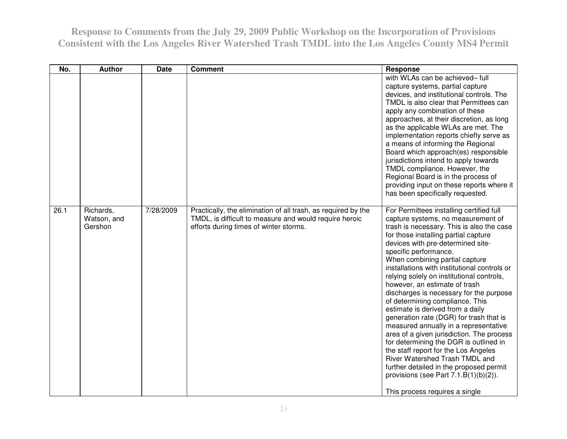| No.  | <b>Author</b>                       | <b>Date</b> | <b>Comment</b>                                                                                                                                                    | Response                                                                                                                                                                                                                                                                                                                                                                                                                                                                                                                                                                                                                                                                                                                                                                                                                                                                                          |
|------|-------------------------------------|-------------|-------------------------------------------------------------------------------------------------------------------------------------------------------------------|---------------------------------------------------------------------------------------------------------------------------------------------------------------------------------------------------------------------------------------------------------------------------------------------------------------------------------------------------------------------------------------------------------------------------------------------------------------------------------------------------------------------------------------------------------------------------------------------------------------------------------------------------------------------------------------------------------------------------------------------------------------------------------------------------------------------------------------------------------------------------------------------------|
|      |                                     |             |                                                                                                                                                                   | with WLAs can be achieved-full<br>capture systems, partial capture<br>devices, and institutional controls. The<br>TMDL is also clear that Permittees can<br>apply any combination of these<br>approaches, at their discretion, as long<br>as the applicable WLAs are met. The<br>implementation reports chiefly serve as<br>a means of informing the Regional<br>Board which approach(es) responsible<br>jurisdictions intend to apply towards<br>TMDL compliance. However, the<br>Regional Board is in the process of<br>providing input on these reports where it<br>has been specifically requested.                                                                                                                                                                                                                                                                                           |
| 26.1 | Richards,<br>Watson, and<br>Gershon | 7/28/2009   | Practically, the elimination of all trash, as required by the<br>TMDL, is difficult to measure and would require heroic<br>efforts during times of winter storms. | For Permittees installing certified full<br>capture systems, no measurement of<br>trash is necessary. This is also the case<br>for those installing partial capture<br>devices with pre-determined site-<br>specific performance.<br>When combining partial capture<br>installations with institutional controls or<br>relying solely on institutional controls,<br>however, an estimate of trash<br>discharges is necessary for the purpose<br>of determining compliance. This<br>estimate is derived from a daily<br>generation rate (DGR) for trash that is<br>measured annually in a representative<br>area of a given jurisdiction. The process<br>for determining the DGR is outlined in<br>the staff report for the Los Angeles<br>River Watershed Trash TMDL and<br>further detailed in the proposed permit<br>provisions (see Part $7.1.B(1)(b)(2)$ ).<br>This process requires a single |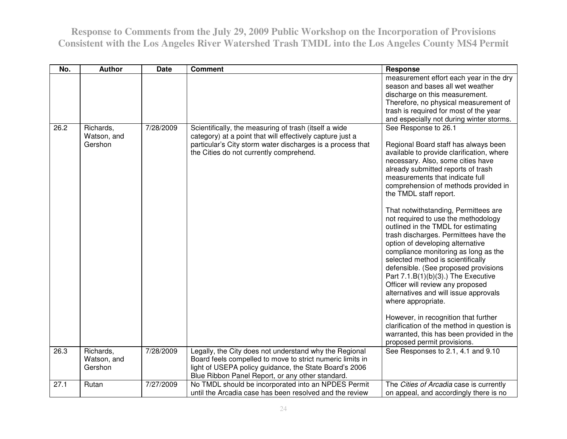| No.               | <b>Author</b>                       | <b>Date</b> | <b>Comment</b>                                                                                                                                                                                                                    | <b>Response</b>                                                                                                                                                                                                                                                                                                                                                                                                                                                                                                                                                                                                                                                                                                                                                                                                                                                                                                                 |
|-------------------|-------------------------------------|-------------|-----------------------------------------------------------------------------------------------------------------------------------------------------------------------------------------------------------------------------------|---------------------------------------------------------------------------------------------------------------------------------------------------------------------------------------------------------------------------------------------------------------------------------------------------------------------------------------------------------------------------------------------------------------------------------------------------------------------------------------------------------------------------------------------------------------------------------------------------------------------------------------------------------------------------------------------------------------------------------------------------------------------------------------------------------------------------------------------------------------------------------------------------------------------------------|
|                   |                                     |             |                                                                                                                                                                                                                                   | measurement effort each year in the dry<br>season and bases all wet weather<br>discharge on this measurement.<br>Therefore, no physical measurement of<br>trash is required for most of the year<br>and especially not during winter storms.                                                                                                                                                                                                                                                                                                                                                                                                                                                                                                                                                                                                                                                                                    |
| 26.2              | Richards,<br>Watson, and<br>Gershon | 7/28/2009   | Scientifically, the measuring of trash (itself a wide<br>category) at a point that will effectively capture just a<br>particular's City storm water discharges is a process that<br>the Cities do not currently comprehend.       | See Response to 26.1<br>Regional Board staff has always been<br>available to provide clarification, where<br>necessary. Also, some cities have<br>already submitted reports of trash<br>measurements that indicate full<br>comprehension of methods provided in<br>the TMDL staff report.<br>That notwithstanding, Permittees are<br>not required to use the methodology<br>outlined in the TMDL for estimating<br>trash discharges. Permittees have the<br>option of developing alternative<br>compliance monitoring as long as the<br>selected method is scientifically<br>defensible. (See proposed provisions<br>Part $7.1.B(1)(b)(3)$ .) The Executive<br>Officer will review any proposed<br>alternatives and will issue approvals<br>where appropriate.<br>However, in recognition that further<br>clarification of the method in question is<br>warranted, this has been provided in the<br>proposed permit provisions. |
| $\overline{26.3}$ | Richards,<br>Watson, and<br>Gershon | 7/28/2009   | Legally, the City does not understand why the Regional<br>Board feels compelled to move to strict numeric limits in<br>light of USEPA policy guidance, the State Board's 2006<br>Blue Ribbon Panel Report, or any other standard. | See Responses to 2.1, 4.1 and 9.10                                                                                                                                                                                                                                                                                                                                                                                                                                                                                                                                                                                                                                                                                                                                                                                                                                                                                              |
| 27.1              | Rutan                               | 7/27/2009   | No TMDL should be incorporated into an NPDES Permit<br>until the Arcadia case has been resolved and the review                                                                                                                    | The Cities of Arcadia case is currently<br>on appeal, and accordingly there is no                                                                                                                                                                                                                                                                                                                                                                                                                                                                                                                                                                                                                                                                                                                                                                                                                                               |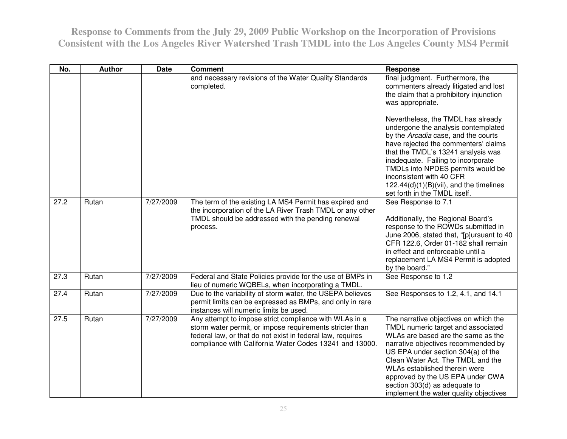| No.  | <b>Author</b> | <b>Date</b> | <b>Comment</b>                                                                                                                                                                                                                              | <b>Response</b>                                                                                                                                                                                                                                                                                                                                                                     |
|------|---------------|-------------|---------------------------------------------------------------------------------------------------------------------------------------------------------------------------------------------------------------------------------------------|-------------------------------------------------------------------------------------------------------------------------------------------------------------------------------------------------------------------------------------------------------------------------------------------------------------------------------------------------------------------------------------|
|      |               |             | and necessary revisions of the Water Quality Standards<br>completed.                                                                                                                                                                        | final judgment. Furthermore, the<br>commenters already litigated and lost<br>the claim that a prohibitory injunction<br>was appropriate.<br>Nevertheless, the TMDL has already<br>undergone the analysis contemplated<br>by the Arcadia case, and the courts                                                                                                                        |
|      |               |             |                                                                                                                                                                                                                                             | have rejected the commenters' claims<br>that the TMDL's 13241 analysis was<br>inadequate. Failing to incorporate<br>TMDLs into NPDES permits would be<br>inconsistent with 40 CFR<br>$122.44(d)(1)(B)(vii)$ , and the timelines<br>set forth in the TMDL itself.                                                                                                                    |
| 27.2 | Rutan         | 7/27/2009   | The term of the existing LA MS4 Permit has expired and<br>the incorporation of the LA River Trash TMDL or any other<br>TMDL should be addressed with the pending renewal<br>process.                                                        | See Response to 7.1<br>Additionally, the Regional Board's<br>response to the ROWDs submitted in<br>June 2006, stated that, "[p]ursuant to 40<br>CFR 122.6, Order 01-182 shall remain<br>in effect and enforceable until a<br>replacement LA MS4 Permit is adopted<br>by the board."                                                                                                 |
| 27.3 | Rutan         | 7/27/2009   | Federal and State Policies provide for the use of BMPs in<br>lieu of numeric WQBELs, when incorporating a TMDL.                                                                                                                             | See Response to 1.2                                                                                                                                                                                                                                                                                                                                                                 |
| 27.4 | Rutan         | 7/27/2009   | Due to the variability of storm water, the USEPA believes<br>permit limits can be expressed as BMPs, and only in rare<br>instances will numeric limits be used.                                                                             | See Responses to 1.2, 4.1, and 14.1                                                                                                                                                                                                                                                                                                                                                 |
| 27.5 | Rutan         | 7/27/2009   | Any attempt to impose strict compliance with WLAs in a<br>storm water permit, or impose requirements stricter than<br>federal law, or that do not exist in federal law, requires<br>compliance with California Water Codes 13241 and 13000. | The narrative objectives on which the<br>TMDL numeric target and associated<br>WLAs are based are the same as the<br>narrative objectives recommended by<br>US EPA under section 304(a) of the<br>Clean Water Act. The TMDL and the<br>WLAs established therein were<br>approved by the US EPA under CWA<br>section 303(d) as adequate to<br>implement the water quality objectives |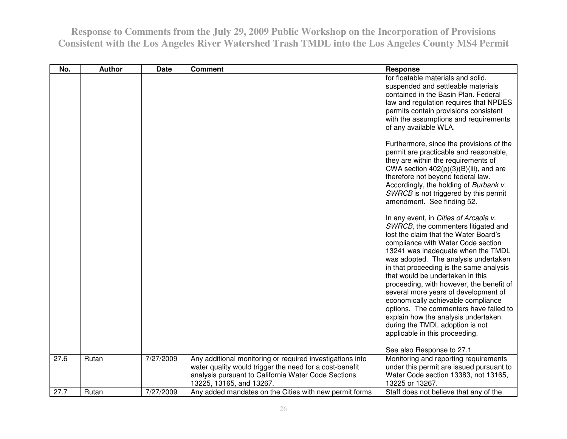| No.  | <b>Author</b> | <b>Date</b> | <b>Comment</b>                                                                                                                                                                                          | Response                                                                                                                                                                                                                                                                                                                                                                                                                                                                                                                                                                                                 |
|------|---------------|-------------|---------------------------------------------------------------------------------------------------------------------------------------------------------------------------------------------------------|----------------------------------------------------------------------------------------------------------------------------------------------------------------------------------------------------------------------------------------------------------------------------------------------------------------------------------------------------------------------------------------------------------------------------------------------------------------------------------------------------------------------------------------------------------------------------------------------------------|
|      |               |             |                                                                                                                                                                                                         | for floatable materials and solid,<br>suspended and settleable materials<br>contained in the Basin Plan. Federal<br>law and regulation requires that NPDES<br>permits contain provisions consistent<br>with the assumptions and requirements<br>of any available WLA.                                                                                                                                                                                                                                                                                                                                    |
|      |               |             |                                                                                                                                                                                                         | Furthermore, since the provisions of the<br>permit are practicable and reasonable,<br>they are within the requirements of<br>CWA section $402(p)(3)(B)(iii)$ , and are<br>therefore not beyond federal law.<br>Accordingly, the holding of Burbank v.<br>SWRCB is not triggered by this permit<br>amendment. See finding 52.                                                                                                                                                                                                                                                                             |
|      |               |             |                                                                                                                                                                                                         | In any event, in Cities of Arcadia v.<br>SWRCB, the commenters litigated and<br>lost the claim that the Water Board's<br>compliance with Water Code section<br>13241 was inadequate when the TMDL<br>was adopted. The analysis undertaken<br>in that proceeding is the same analysis<br>that would be undertaken in this<br>proceeding, with however, the benefit of<br>several more years of development of<br>economically achievable compliance<br>options. The commenters have failed to<br>explain how the analysis undertaken<br>during the TMDL adoption is not<br>applicable in this proceeding. |
|      |               |             |                                                                                                                                                                                                         | See also Response to 27.1                                                                                                                                                                                                                                                                                                                                                                                                                                                                                                                                                                                |
| 27.6 | Rutan         | 7/27/2009   | Any additional monitoring or required investigations into<br>water quality would trigger the need for a cost-benefit<br>analysis pursuant to California Water Code Sections<br>13225, 13165, and 13267. | Monitoring and reporting requirements<br>under this permit are issued pursuant to<br>Water Code section 13383, not 13165,<br>13225 or 13267.                                                                                                                                                                                                                                                                                                                                                                                                                                                             |
| 27.7 | Rutan         | 7/27/2009   | Any added mandates on the Cities with new permit forms                                                                                                                                                  | Staff does not believe that any of the                                                                                                                                                                                                                                                                                                                                                                                                                                                                                                                                                                   |